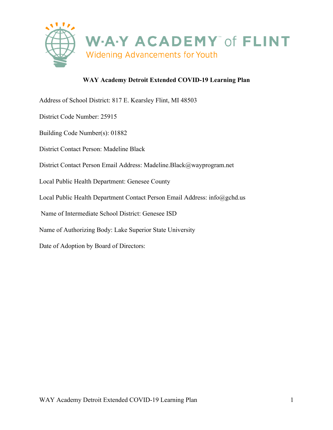

#### **WAY Academy Detroit Extended COVID-19 Learning Plan**

- Address of School District: 817 E. Kearsley Flint, MI 48503
- District Code Number: 25915
- Building Code Number(s): 01882
- District Contact Person: Madeline Black
- District Contact Person Email Address: Madeline.Black@wayprogram.net
- Local Public Health Department: Genesee County
- Local Public Health Department Contact Person Email Address: info@gchd.us
- Name of Intermediate School District: Genesee ISD
- Name of Authorizing Body: Lake Superior State University
- Date of Adoption by Board of Directors: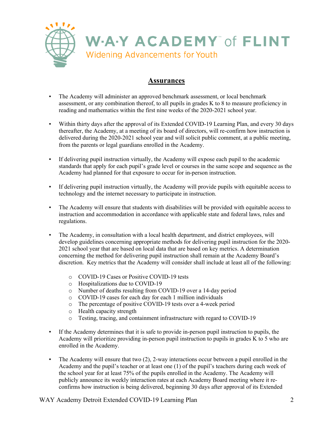

#### **Assurances**

- The Academy will administer an approved benchmark assessment, or local benchmark assessment, or any combination thereof, to all pupils in grades K to 8 to measure proficiency in reading and mathematics within the first nine weeks of the 2020-2021 school year.
- Within thirty days after the approval of its Extended COVID-19 Learning Plan, and every 30 days thereafter, the Academy, at a meeting of its board of directors, will re-confirm how instruction is delivered during the 2020-2021 school year and will solicit public comment, at a public meeting, from the parents or legal guardians enrolled in the Academy.
- If delivering pupil instruction virtually, the Academy will expose each pupil to the academic standards that apply for each pupil's grade level or courses in the same scope and sequence as the Academy had planned for that exposure to occur for in-person instruction.
- If delivering pupil instruction virtually, the Academy will provide pupils with equitable access to technology and the internet necessary to participate in instruction.
- The Academy will ensure that students with disabilities will be provided with equitable access to instruction and accommodation in accordance with applicable state and federal laws, rules and regulations.
- The Academy, in consultation with a local health department, and district employees, will develop guidelines concerning appropriate methods for delivering pupil instruction for the 2020- 2021 school year that are based on local data that are based on key metrics. A determination concerning the method for delivering pupil instruction shall remain at the Academy Board's discretion. Key metrics that the Academy will consider shall include at least all of the following:
	- o COVID-19 Cases or Positive COVID-19 tests
	- o Hospitalizations due to COVID-19
	- o Number of deaths resulting from COVID-19 over a 14-day period
	- o COVID-19 cases for each day for each 1 million individuals
	- o The percentage of positive COVID-19 tests over a 4-week period
	- o Health capacity strength
	- o Testing, tracing, and containment infrastructure with regard to COVID-19
- If the Academy determines that it is safe to provide in-person pupil instruction to pupils, the Academy will prioritize providing in-person pupil instruction to pupils in grades K to 5 who are enrolled in the Academy.
- The Academy will ensure that two (2), 2-way interactions occur between a pupil enrolled in the Academy and the pupil's teacher or at least one (1) of the pupil's teachers during each week of the school year for at least 75% of the pupils enrolled in the Academy. The Academy will publicly announce its weekly interaction rates at each Academy Board meeting where it reconfirms how instruction is being delivered, beginning 30 days after approval of its Extended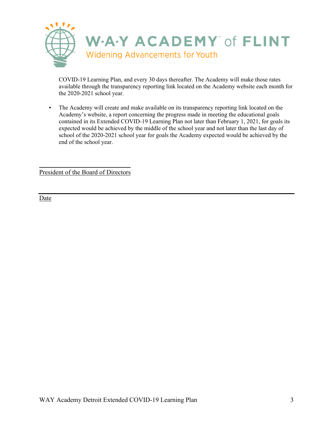

COVID-19 Learning Plan, and every 30 days thereafter. The Academy will make those rates available through the transparency reporting link located on the Academy website each month for the 2020-2021 school year.

▪ The Academy will create and make available on its transparency reporting link located on the Academy's website, a report concerning the progress made in meeting the educational goals contained in its Extended COVID-19 Learning Plan not later than February 1, 2021, for goals its expected would be achieved by the middle of the school year and not later than the last day of school of the 2020-2021 school year for goals the Academy expected would be achieved by the end of the school year.

\_\_\_\_\_\_\_\_\_\_\_\_\_\_\_\_\_\_\_\_\_\_\_\_\_\_\_\_ President of the Board of Directors

Date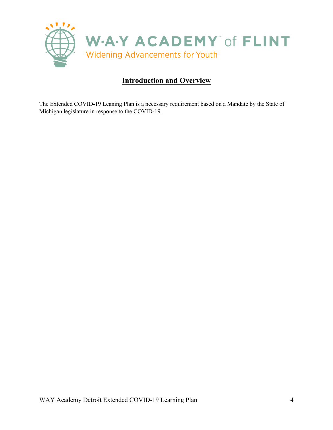

### **Introduction and Overview**

The Extended COVID-19 Leaning Plan is a necessary requirement based on a Mandate by the State of Michigan legislature in response to the COVID-19.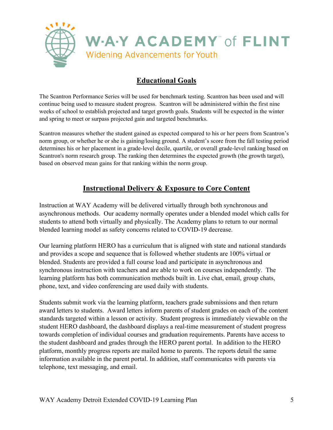

## **Educational Goals**

The Scantron Performance Series will be used for benchmark testing. Scantron has been used and will continue being used to measure student progress. Scantron will be administered within the first nine weeks of school to establish projected and target growth goals. Students will be expected in the winter and spring to meet or surpass projected gain and targeted benchmarks.

Scantron measures whether the student gained as expected compared to his or her peers from Scantron's norm group, or whether he or she is gaining/losing ground. A student's score from the fall testing period determines his or her placement in a grade-level decile, quartile, or overall grade-level ranking based on Scantron's norm research group. The ranking then determines the expected growth (the growth target), based on observed mean gains for that ranking within the norm group.

### **Instructional Delivery & Exposure to Core Content**

Instruction at WAY Academy will be delivered virtually through both synchronous and asynchronous methods. Our academy normally operates under a blended model which calls for students to attend both virtually and physically. The Academy plans to return to our normal blended learning model as safety concerns related to COVID-19 decrease.

Our learning platform HERO has a curriculum that is aligned with state and national standards and provides a scope and sequence that is followed whether students are 100% virtual or blended. Students are provided a full course load and participate in asynchronous and synchronous instruction with teachers and are able to work on courses independently. The learning platform has both communication methods built in. Live chat, email, group chats, phone, text, and video conferencing are used daily with students.

Students submit work via the learning platform, teachers grade submissions and then return award letters to students. Award letters inform parents of student grades on each of the content standards targeted within a lesson or activity. Student progress is immediately viewable on the student HERO dashboard, the dashboard displays a real-time measurement of student progress towards completion of individual courses and graduation requirements. Parents have access to the student dashboard and grades through the HERO parent portal. In addition to the HERO platform, monthly progress reports are mailed home to parents. The reports detail the same information available in the parent portal. In addition, staff communicates with parents via telephone, text messaging, and email.